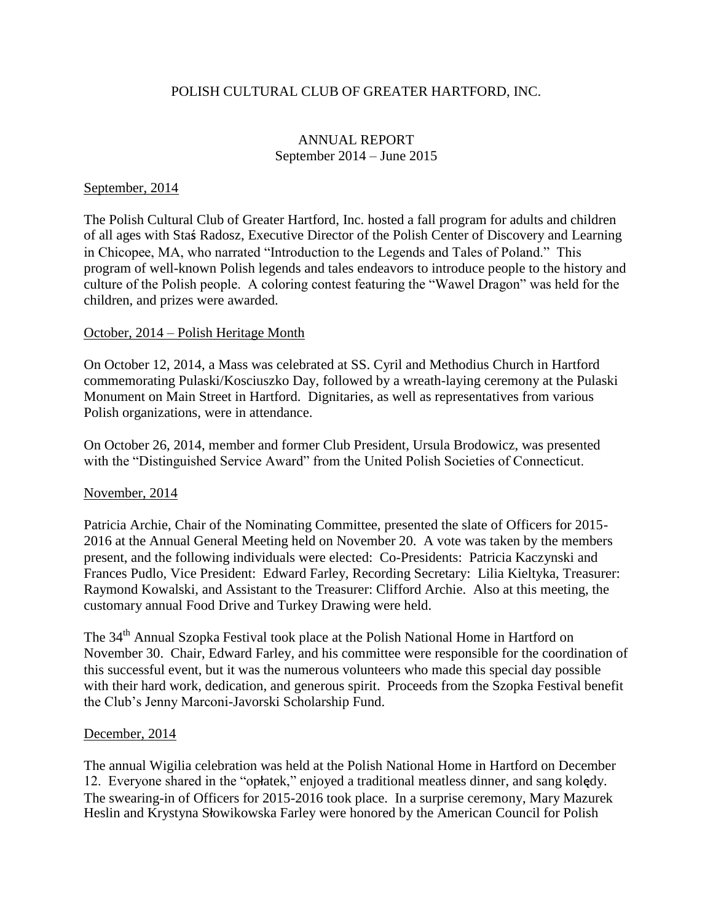## POLISH CULTURAL CLUB OF GREATER HARTFORD, INC.

## ANNUAL REPORT September 2014 – June 2015

#### September, 2014

The Polish Cultural Club of Greater Hartford, Inc. hosted a fall program for adults and children of all ages with Staś Radosz, Executive Director of the Polish Center of Discovery and Learning in Chicopee, MA, who narrated "Introduction to the Legends and Tales of Poland." This program of well-known Polish legends and tales endeavors to introduce people to the history and culture of the Polish people. A coloring contest featuring the "Wawel Dragon" was held for the children, and prizes were awarded.

#### October, 2014 – Polish Heritage Month

On October 12, 2014, a Mass was celebrated at SS. Cyril and Methodius Church in Hartford commemorating Pulaski/Kosciuszko Day, followed by a wreath-laying ceremony at the Pulaski Monument on Main Street in Hartford. Dignitaries, as well as representatives from various Polish organizations, were in attendance.

On October 26, 2014, member and former Club President, Ursula Brodowicz, was presented with the "Distinguished Service Award" from the United Polish Societies of Connecticut.

#### November, 2014

Patricia Archie, Chair of the Nominating Committee, presented the slate of Officers for 2015- 2016 at the Annual General Meeting held on November 20. A vote was taken by the members present, and the following individuals were elected: Co-Presidents: Patricia Kaczynski and Frances Pudlo, Vice President: Edward Farley, Recording Secretary: Lilia Kieltyka, Treasurer: Raymond Kowalski, and Assistant to the Treasurer: Clifford Archie. Also at this meeting, the customary annual Food Drive and Turkey Drawing were held.

The 34<sup>th</sup> Annual Szopka Festival took place at the Polish National Home in Hartford on November 30. Chair, Edward Farley, and his committee were responsible for the coordination of this successful event, but it was the numerous volunteers who made this special day possible with their hard work, dedication, and generous spirit. Proceeds from the Szopka Festival benefit the Club's Jenny Marconi-Javorski Scholarship Fund.

#### December, 2014

The annual Wigilia celebration was held at the Polish National Home in Hartford on December 12. Everyone shared in the "opłatek," enjoyed a traditional meatless dinner, and sang kolędy. The swearing-in of Officers for 2015-2016 took place. In a surprise ceremony, Mary Mazurek Heslin and Krystyna Słowikowska Farley were honored by the American Council for Polish